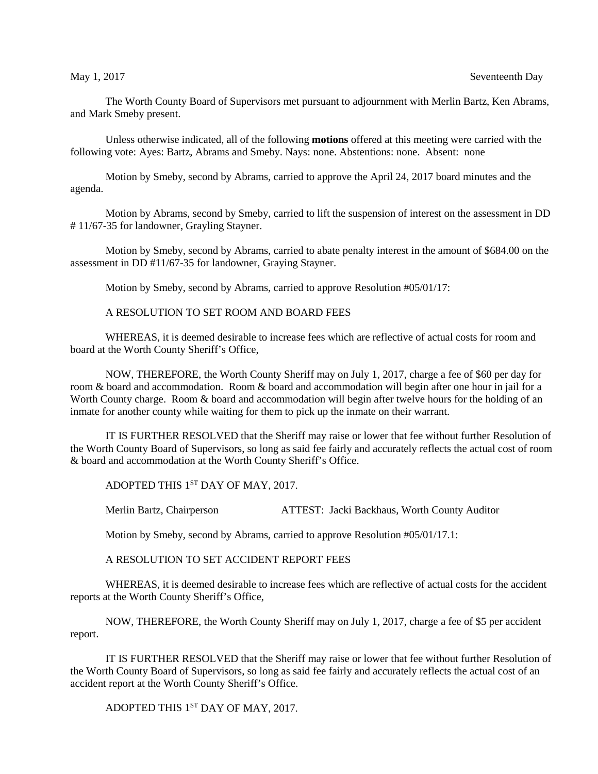The Worth County Board of Supervisors met pursuant to adjournment with Merlin Bartz, Ken Abrams, and Mark Smeby present.

Unless otherwise indicated, all of the following **motions** offered at this meeting were carried with the following vote: Ayes: Bartz, Abrams and Smeby. Nays: none. Abstentions: none. Absent: none

Motion by Smeby, second by Abrams, carried to approve the April 24, 2017 board minutes and the agenda.

Motion by Abrams, second by Smeby, carried to lift the suspension of interest on the assessment in DD # 11/67-35 for landowner, Grayling Stayner.

Motion by Smeby, second by Abrams, carried to abate penalty interest in the amount of \$684.00 on the assessment in DD #11/67-35 for landowner, Graying Stayner.

Motion by Smeby, second by Abrams, carried to approve Resolution #05/01/17:

## A RESOLUTION TO SET ROOM AND BOARD FEES

WHEREAS, it is deemed desirable to increase fees which are reflective of actual costs for room and board at the Worth County Sheriff's Office,

NOW, THEREFORE, the Worth County Sheriff may on July 1, 2017, charge a fee of \$60 per day for room & board and accommodation. Room & board and accommodation will begin after one hour in jail for a Worth County charge. Room & board and accommodation will begin after twelve hours for the holding of an inmate for another county while waiting for them to pick up the inmate on their warrant.

IT IS FURTHER RESOLVED that the Sheriff may raise or lower that fee without further Resolution of the Worth County Board of Supervisors, so long as said fee fairly and accurately reflects the actual cost of room & board and accommodation at the Worth County Sheriff's Office.

ADOPTED THIS 1<sup>ST</sup> DAY OF MAY, 2017.

Merlin Bartz, Chairperson ATTEST: Jacki Backhaus, Worth County Auditor

Motion by Smeby, second by Abrams, carried to approve Resolution #05/01/17.1:

A RESOLUTION TO SET ACCIDENT REPORT FEES

WHEREAS, it is deemed desirable to increase fees which are reflective of actual costs for the accident reports at the Worth County Sheriff's Office,

NOW, THEREFORE, the Worth County Sheriff may on July 1, 2017, charge a fee of \$5 per accident report.

IT IS FURTHER RESOLVED that the Sheriff may raise or lower that fee without further Resolution of the Worth County Board of Supervisors, so long as said fee fairly and accurately reflects the actual cost of an accident report at the Worth County Sheriff's Office.

ADOPTED THIS 1<sup>ST</sup> DAY OF MAY, 2017.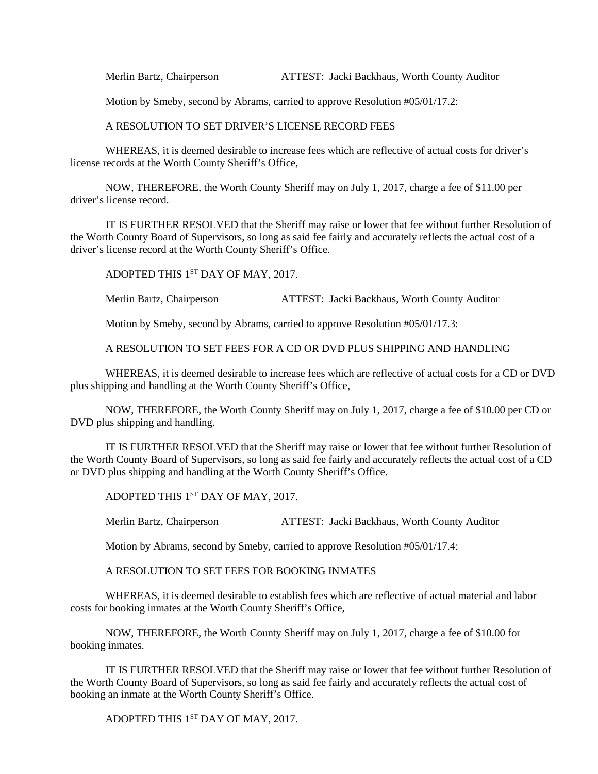Merlin Bartz, Chairperson ATTEST: Jacki Backhaus, Worth County Auditor

Motion by Smeby, second by Abrams, carried to approve Resolution #05/01/17.2:

A RESOLUTION TO SET DRIVER'S LICENSE RECORD FEES

WHEREAS, it is deemed desirable to increase fees which are reflective of actual costs for driver's license records at the Worth County Sheriff's Office,

NOW, THEREFORE, the Worth County Sheriff may on July 1, 2017, charge a fee of \$11.00 per driver's license record.

IT IS FURTHER RESOLVED that the Sheriff may raise or lower that fee without further Resolution of the Worth County Board of Supervisors, so long as said fee fairly and accurately reflects the actual cost of a driver's license record at the Worth County Sheriff's Office.

ADOPTED THIS 1<sup>ST</sup> DAY OF MAY, 2017.

Merlin Bartz, Chairperson ATTEST: Jacki Backhaus, Worth County Auditor

Motion by Smeby, second by Abrams, carried to approve Resolution #05/01/17.3:

A RESOLUTION TO SET FEES FOR A CD OR DVD PLUS SHIPPING AND HANDLING

WHEREAS, it is deemed desirable to increase fees which are reflective of actual costs for a CD or DVD plus shipping and handling at the Worth County Sheriff's Office,

NOW, THEREFORE, the Worth County Sheriff may on July 1, 2017, charge a fee of \$10.00 per CD or DVD plus shipping and handling.

IT IS FURTHER RESOLVED that the Sheriff may raise or lower that fee without further Resolution of the Worth County Board of Supervisors, so long as said fee fairly and accurately reflects the actual cost of a CD or DVD plus shipping and handling at the Worth County Sheriff's Office.

ADOPTED THIS 1<sup>ST</sup> DAY OF MAY, 2017.

Merlin Bartz, Chairperson ATTEST: Jacki Backhaus, Worth County Auditor

Motion by Abrams, second by Smeby, carried to approve Resolution #05/01/17.4:

A RESOLUTION TO SET FEES FOR BOOKING INMATES

WHEREAS, it is deemed desirable to establish fees which are reflective of actual material and labor costs for booking inmates at the Worth County Sheriff's Office,

NOW, THEREFORE, the Worth County Sheriff may on July 1, 2017, charge a fee of \$10.00 for booking inmates.

IT IS FURTHER RESOLVED that the Sheriff may raise or lower that fee without further Resolution of the Worth County Board of Supervisors, so long as said fee fairly and accurately reflects the actual cost of booking an inmate at the Worth County Sheriff's Office.

ADOPTED THIS 1ST DAY OF MAY, 2017.